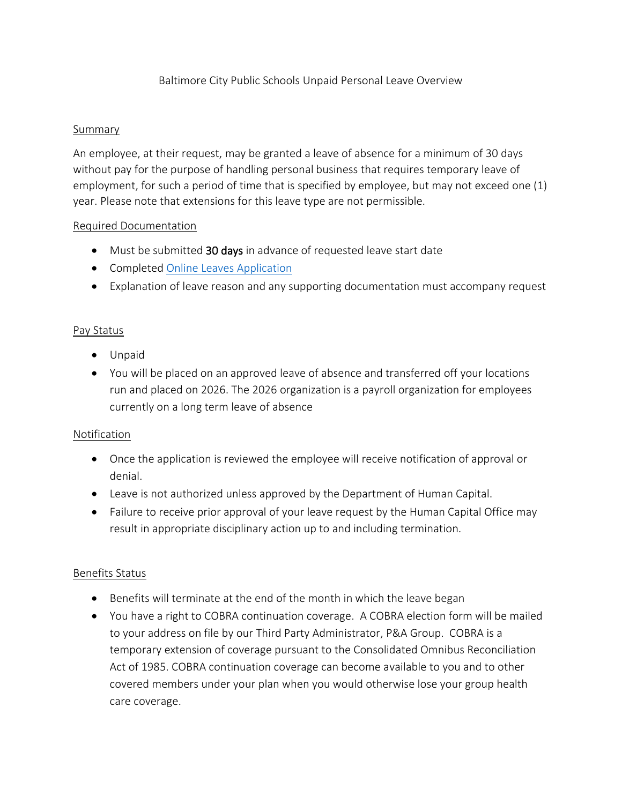# Baltimore City Public Schools Unpaid Personal Leave Overview

### Summary

An employee, at their request, may be granted a leave of absence for a minimum of 30 days without pay for the purpose of handling personal business that requires temporary leave of employment, for such a period of time that is specified by employee, but may not exceed one (1) year. Please note that extensions for this leave type are not permissible.

#### Required Documentation

- Must be submitted 30 days in advance of requested leave start date
- Completed [Online Leaves Application](https://forms.office.com/Pages/ResponsePage.aspx?id=9LJbBuNvT0GpEPKIYwXIFBnhxb7D_0RFuekVM8XY2ktUNjVHUTQxREFHNVZCVVlQRFdRNDRaNEJSMSQlQCN0PWcu)
- Explanation of leave reason and any supporting documentation must accompany request

#### Pay Status

- Unpaid
- You will be placed on an approved leave of absence and transferred off your locations run and placed on 2026. The 2026 organization is a payroll organization for employees currently on a long term leave of absence

# **Notification**

- Once the application is reviewed the employee will receive notification of approval or denial.
- Leave is not authorized unless approved by the Department of Human Capital.
- Failure to receive prior approval of your leave request by the Human Capital Office may result in appropriate disciplinary action up to and including termination.

# Benefits Status

- Benefits will terminate at the end of the month in which the leave began
- You have a right to COBRA continuation coverage. A COBRA election form will be mailed to your address on file by our Third Party Administrator, P&A Group. COBRA is a temporary extension of coverage pursuant to the Consolidated Omnibus Reconciliation Act of 1985. COBRA continuation coverage can become available to you and to other covered members under your plan when you would otherwise lose your group health care coverage.